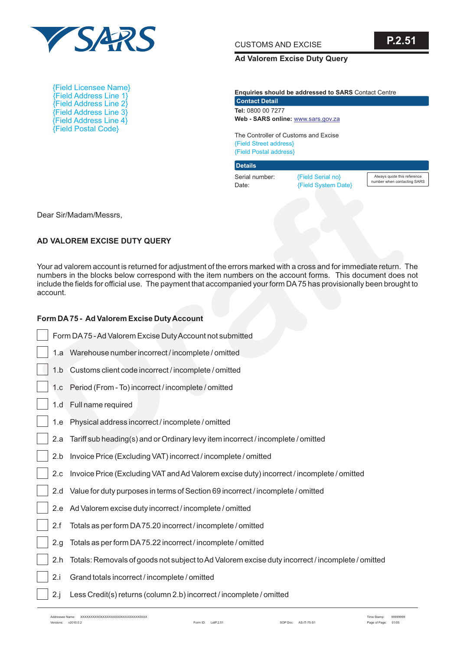

CUSTOMS AND EXCISE

**P.2.51**

#### **Ad Valorem Excise Duty Query**

**Enquiries should be addressed to SARS** Contact Centre **Tel:**  0800 00 7277 **Web - SARS online:**  [www.sars.gov.za](http://www.sars.gov.za) **Contact Detail**

The Controller of Customs and Excise {Field Street address} {Field Postal address}

Serial number: Date: **Details**

Always quote this reference number when contacting SARS

{Field Address Line 1} {Field Address Line 2} {Field Address Line 3} {Field Address Line 4} {Field Postal Code} {Field Licensee Name}

## **AD VALOREM EXCISE DUTY QUERY**

## **Form DA75 - Ad Valorem Excise Duty Account**

|          |                                                                                                                                                                                                                                                                                                                                                  | Serial number:<br>Date: | {Field Serial no}<br>{Field System Date} | Always quote this refe<br>number when contacting |
|----------|--------------------------------------------------------------------------------------------------------------------------------------------------------------------------------------------------------------------------------------------------------------------------------------------------------------------------------------------------|-------------------------|------------------------------------------|--------------------------------------------------|
|          | Dear Sir/Madam/Messrs,                                                                                                                                                                                                                                                                                                                           |                         |                                          |                                                  |
|          | AD VALOREM EXCISE DUTY QUERY                                                                                                                                                                                                                                                                                                                     |                         |                                          |                                                  |
| account. | Your ad valorem account is returned for adjustment of the errors marked with a cross and for immediate return. Th<br>numbers in the blocks below correspond with the item numbers on the account forms. This document does no<br>include the fields for official use. The payment that accompanied your form DA75 has provisionally been brought |                         |                                          |                                                  |
|          | Form DA75 - Ad Valorem Excise Duty Account                                                                                                                                                                                                                                                                                                       |                         |                                          |                                                  |
|          | Form DA75 - Ad Valorem Excise Duty Account not submitted                                                                                                                                                                                                                                                                                         |                         |                                          |                                                  |
|          | 1.a Warehouse number incorrect / incomplete / omitted                                                                                                                                                                                                                                                                                            |                         |                                          |                                                  |
|          | 1.b Customs client code incorrect / incomplete / omitted                                                                                                                                                                                                                                                                                         |                         |                                          |                                                  |
|          | 1.c Period (From - To) incorrect / incomplete / omitted                                                                                                                                                                                                                                                                                          |                         |                                          |                                                  |
| 1.d      | Full name required                                                                                                                                                                                                                                                                                                                               |                         |                                          |                                                  |
| 1.e      | Physical address incorrect / incomplete / omitted                                                                                                                                                                                                                                                                                                |                         |                                          |                                                  |
| 2.a      | Tariff sub heading(s) and or Ordinary levy item incorrect / incomplete / omitted                                                                                                                                                                                                                                                                 |                         |                                          |                                                  |
| 2.b      | Invoice Price (Excluding VAT) incorrect / incomplete / omitted                                                                                                                                                                                                                                                                                   |                         |                                          |                                                  |
| 2.c      | Invoice Price (Excluding VAT and Ad Valorem excise duty) incorrect / incomplete / omitted                                                                                                                                                                                                                                                        |                         |                                          |                                                  |
| 2.d      | Value for duty purposes in terms of Section 69 incorrect / incomplete / omitted                                                                                                                                                                                                                                                                  |                         |                                          |                                                  |
|          | 2.e Ad Valorem excise duty incorrect / incomplete / omitted                                                                                                                                                                                                                                                                                      |                         |                                          |                                                  |
| 2.f      | Totals as per form DA 75.20 incorrect / incomplete / omitted                                                                                                                                                                                                                                                                                     |                         |                                          |                                                  |
| 2.g      | Totals as per form DA 75.22 incorrect / incomplete / omitted                                                                                                                                                                                                                                                                                     |                         |                                          |                                                  |
| 2.h      | Totals: Removals of goods not subject to Ad Valorem excise duty incorrect / incomplete / omitted                                                                                                                                                                                                                                                 |                         |                                          |                                                  |
| 2.i      | Grand totals incorrect / incomplete / omitted                                                                                                                                                                                                                                                                                                    |                         |                                          |                                                  |
| 2.j      | Less Credit(s) returns (column 2.b) incorrect / incomplete / omitted                                                                                                                                                                                                                                                                             |                         |                                          |                                                  |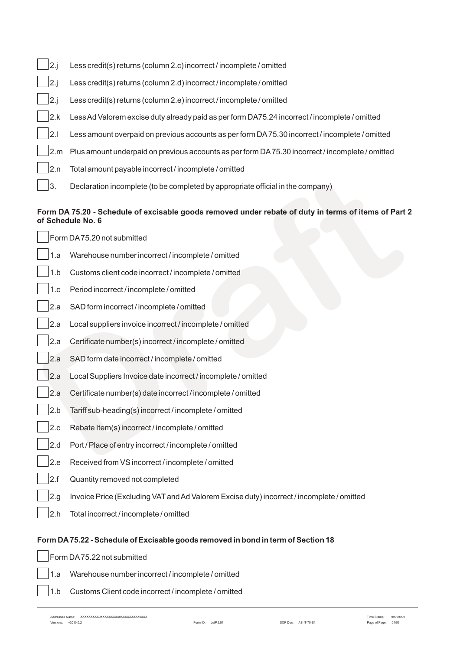| 2.1 | Less credit(s) returns (column 2.c) incorrect / incomplete / omitted                            |
|-----|-------------------------------------------------------------------------------------------------|
| 2.1 | Less credit(s) returns (column 2.d) incorrect / incomplete / omitted                            |
| 2.1 | Less credit(s) returns (column 2.e) incorrect / incomplete / omitted                            |
| 2.k | Less Ad Valorem excise duty already paid as per form DA75.24 incorrect / incomplete / omitted   |
| 2   | Less amount overpaid on previous accounts as per form DA75.30 incorrect / incomplete / omitted  |
| 2.m | Plus amount underpaid on previous accounts as per form DA75.30 incorrect / incomplete / omitted |
| 2.n | Total amount payable incorrect / incomplete / omitted                                           |
| 3.  | Declaration incomplete (to be completed by appropriate official in the company)                 |

## **Form DA 75.20 - Schedule of excisable goods removed under rebate of duty in terms of items of Part 2 of Schedule No. 6**

| 4.II | Total amount payable incorrect/incomplete/ornited                                                                         |
|------|---------------------------------------------------------------------------------------------------------------------------|
| 3.   | Declaration incomplete (to be completed by appropriate official in the company)                                           |
|      | Form DA 75.20 - Schedule of excisable goods removed under rebate of duty in terms of items of Part 2<br>of Schedule No. 6 |
|      | Form DA75.20 not submitted                                                                                                |
| 1.a  | Warehouse number incorrect / incomplete / omitted                                                                         |
| 1.b  | Customs client code incorrect / incomplete / omitted                                                                      |
| 1.c  | Period incorrect / incomplete / omitted                                                                                   |
| 2.a  | SAD form incorrect / incomplete / omitted                                                                                 |
| 2.a  | Local suppliers invoice incorrect / incomplete / omitted                                                                  |
| 2.a  | Certificate number(s) incorrect / incomplete / omitted                                                                    |
| 2.a  | SAD form date incorrect / incomplete / omitted                                                                            |
| 2.a  | Local Suppliers Invoice date incorrect / incomplete / omitted                                                             |
| 2.a  | Certificate number(s) date incorrect / incomplete / omitted                                                               |
| 2.b  | Tariff sub-heading(s) incorrect / incomplete / omitted                                                                    |
| 2.c  | Rebate Item(s) incorrect / incomplete / omitted                                                                           |
| 2.d  | Port / Place of entry incorrect / incomplete / omitted                                                                    |
| 2.e  | Received from VS incorrect / incomplete / omitted                                                                         |
| 2.f  | Quantity removed not completed                                                                                            |
| 2.g  | Invoice Price (Excluding VAT and Ad Valorem Excise duty) incorrect / incomplete / omitted                                 |
| 2.h  | Total incorrect / incomplete / omitted                                                                                    |
|      |                                                                                                                           |

# **Form DA75.22 - Schedule of Excisable goods removed in bond in term of Section 18**

Form DA75.22 not submitted

1.a Warehouse number incorrect / incomplete / omitted

1.b Customs Client code incorrect / incomplete / omitted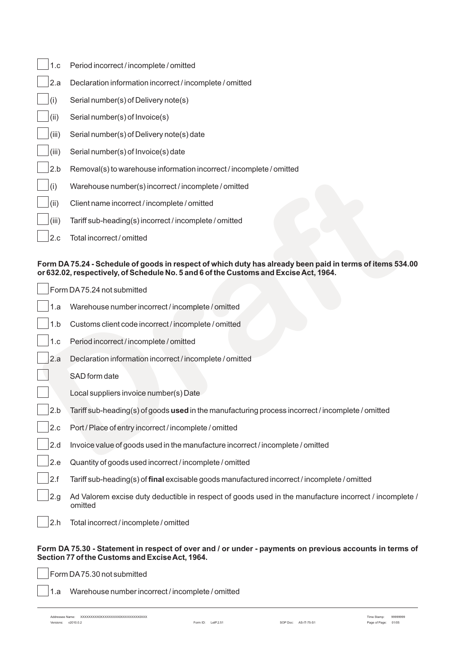| 1.c   | Period incorrect / incomplete / omitted                              |
|-------|----------------------------------------------------------------------|
| 2.a   | Declaration information incorrect / incomplete / omitted             |
| (i)   | Serial number(s) of Delivery note(s)                                 |
| (ii)  | Serial number(s) of Invoice(s)                                       |
| (iii) | Serial number(s) of Delivery note(s) date                            |
| (iii) | Serial number(s) of Invoice(s) date                                  |
| 2.b   | Removal(s) to warehouse information incorrect / incomplete / omitted |
| (i)   | Warehouse number(s) incorrect / incomplete / omitted                 |
| (ii)  | Client name incorrect / incomplete / omitted                         |
| (iii) | Tariff sub-heading(s) incorrect / incomplete / omitted               |
| 2.c   | Total incorrect / omitted                                            |
|       |                                                                      |

### **Form DA 75.24 - Schedule of goods in respect of which duty has already been paid in terms of items 534.00 or 632.02, respectively, of Schedule No. 5 and 6 of the Customs and Excise Act, 1964.**

| $\mathsf{Z}.\mathsf{D}$ | Removalls) to warehouse imomiation incorrect/incomplete/omitted                                                                                                                                    |
|-------------------------|----------------------------------------------------------------------------------------------------------------------------------------------------------------------------------------------------|
| (i)                     | Warehouse number(s) incorrect / incomplete / omitted                                                                                                                                               |
| (ii)                    | Client name incorrect / incomplete / omitted                                                                                                                                                       |
| (iii)                   | Tariff sub-heading(s) incorrect / incomplete / omitted                                                                                                                                             |
| 2.c                     | Total incorrect / omitted                                                                                                                                                                          |
|                         | Form DA 75.24 - Schedule of goods in respect of which duty has already been paid in terms of items 534.00<br>or 632.02, respectively, of Schedule No. 5 and 6 of the Customs and Excise Act, 1964. |
|                         | Form DA75.24 not submitted                                                                                                                                                                         |
| 1.a                     | Warehouse number incorrect / incomplete / omitted                                                                                                                                                  |
| 1.b                     | Customs client code incorrect / incomplete / omitted                                                                                                                                               |
| 1.c                     | Period incorrect / incomplete / omitted                                                                                                                                                            |
| 2.a                     | Declaration information incorrect / incomplete / omitted                                                                                                                                           |
|                         | SAD form date                                                                                                                                                                                      |
|                         | Local suppliers invoice number(s) Date                                                                                                                                                             |
| 2.b                     | Tariff sub-heading(s) of goods used in the manufacturing process incorrect / incomplete / omitted                                                                                                  |
| 2.c                     | Port / Place of entry incorrect / incomplete / omitted                                                                                                                                             |
| 2.d                     | Invoice value of goods used in the manufacture incorrect / incomplete / omitted                                                                                                                    |
| 2.e                     | Quantity of goods used incorrect / incomplete / omitted                                                                                                                                            |
| 2.f                     | Tariff sub-heading(s) of final excisable goods manufactured incorrect / incomplete / omitted                                                                                                       |
| 2.g                     | Ad Valorem excise duty deductible in respect of goods used in the manufacture incorrect / incomplete /<br>omitted                                                                                  |
| 2.h                     | Total incorrect / incomplete / omitted                                                                                                                                                             |
|                         |                                                                                                                                                                                                    |

#### **Form DA 75.30 - Statement in respect of over and / or under - payments on previous accounts in terms of Section 77 of the Customs and Excise Act, 1964.**

Form DA75.30 not submitted

1.a Warehouse number incorrect / incomplete / omitted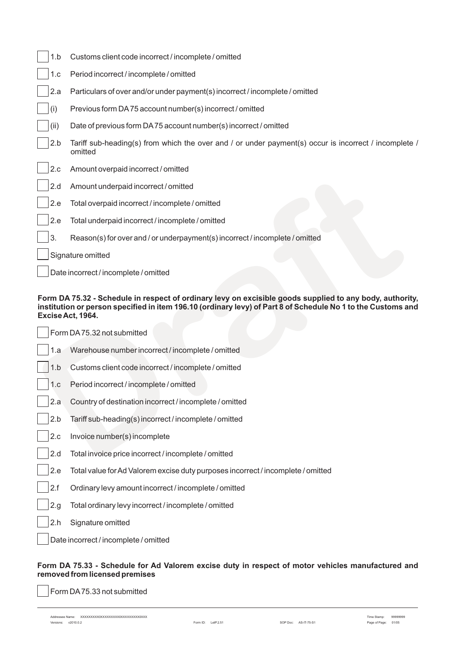|                                                                                                                                                                                                                                               | 1.b  | Customs client code incorrect / incomplete / omitted                                                             |  |
|-----------------------------------------------------------------------------------------------------------------------------------------------------------------------------------------------------------------------------------------------|------|------------------------------------------------------------------------------------------------------------------|--|
|                                                                                                                                                                                                                                               | 1.c  | Period incorrect / incomplete / omitted                                                                          |  |
|                                                                                                                                                                                                                                               | 2.a  | Particulars of over and/or under payment(s) incorrect / incomplete / omitted                                     |  |
|                                                                                                                                                                                                                                               | (i)  | Previous form DA75 account number(s) incorrect / omitted                                                         |  |
|                                                                                                                                                                                                                                               | (ii) | Date of previous form DA75 account number(s) incorrect / omitted                                                 |  |
|                                                                                                                                                                                                                                               | 2.b  | Tariff sub-heading(s) from which the over and / or under payment(s) occur is incorrect / incomplete /<br>omitted |  |
|                                                                                                                                                                                                                                               | 2.c  | Amount overpaid incorrect / omitted                                                                              |  |
|                                                                                                                                                                                                                                               | 2.d  | Amount underpaid incorrect / omitted                                                                             |  |
|                                                                                                                                                                                                                                               | 2.e  | Total overpaid incorrect / incomplete / omitted                                                                  |  |
|                                                                                                                                                                                                                                               | 2.e  | Total underpaid incorrect / incomplete / omitted                                                                 |  |
|                                                                                                                                                                                                                                               | 3.   | Reason(s) for over and / or underpayment(s) incorrect / incomplete / omitted                                     |  |
|                                                                                                                                                                                                                                               |      | Signature omitted                                                                                                |  |
|                                                                                                                                                                                                                                               |      | Date incorrect / incomplete / omitted                                                                            |  |
| Form DA 75.32 - Schedule in respect of ordinary levy on excisible goods supplied to any body, authority,<br>institution or person specified in item 196.10 (ordinary levy) of Part 8 of Schedule No 1 to the Customs and<br>Excise Act, 1964. |      |                                                                                                                  |  |
|                                                                                                                                                                                                                                               |      | Form DA75.32 not submitted                                                                                       |  |
|                                                                                                                                                                                                                                               | 1.a  | Warehouse number incorrect / incomplete / omitted                                                                |  |
|                                                                                                                                                                                                                                               | 1.b  | Customs client code incorrect / incomplete / omitted                                                             |  |
|                                                                                                                                                                                                                                               | 1.c  | Period incorrect / incomplete / omitted                                                                          |  |
|                                                                                                                                                                                                                                               | 2.a  | Country of destination incorrect / incomplete / omitted                                                          |  |
|                                                                                                                                                                                                                                               | 2.b  | Tariff sub-heading(s) incorrect / incomplete / omitted                                                           |  |
|                                                                                                                                                                                                                                               | 2.c  | Invoice number(s) incomplete                                                                                     |  |
|                                                                                                                                                                                                                                               | 2.d  | Total invoice price incorrect / incomplete / omitted                                                             |  |

#### **Form DA 75.32 - Schedule in respect of ordinary levy on excisible goods supplied to any body, authority, institution or person specified in item 196.10 (ordinary levy) of Part 8 of Schedule No 1 to the Customs and Excise Act, 1964.**

|      | Form DA75.32 not submitted                                                       |  |  |  |
|------|----------------------------------------------------------------------------------|--|--|--|
| 1.a  | Warehouse number incorrect / incomplete / omitted                                |  |  |  |
| 1.b  | Customs client code incorrect / incomplete / omitted                             |  |  |  |
| 1.c  | Period incorrect / incomplete / omitted                                          |  |  |  |
| 2.a  | Country of destination incorrect / incomplete / omitted                          |  |  |  |
| 2.b  | Tariff sub-heading(s) incorrect / incomplete / omitted                           |  |  |  |
| 2.c  | Invoice number(s) incomplete                                                     |  |  |  |
| 2.d  | Total invoice price incorrect / incomplete / omitted                             |  |  |  |
| 2.e  | Total value for Ad Valorem excise duty purposes incorrect / incomplete / omitted |  |  |  |
| 2.f  | Ordinary levy amount incorrect / incomplete / omitted                            |  |  |  |
| 2.g. | Total ordinary levy incorrect / incomplete / omitted                             |  |  |  |
| 2.h  | Signature omitted                                                                |  |  |  |
|      | Date incorrect / incomplete / omitted                                            |  |  |  |
|      |                                                                                  |  |  |  |

## **Form DA 75.33 - Schedule for Ad Valorem excise duty in respect of motor vehicles manufactured and removed from licensed premises**

Form DA75.33 not submitted